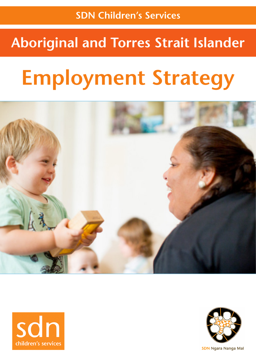# **Aboriginal and Torres Strait Islander**

# **Employment Strategy**







**SDN Ngara Nanga Mai**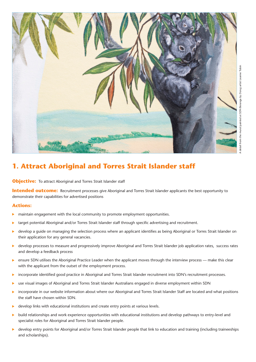

# **1. Attract Aboriginal and Torres Strait Islander staff**

**Objective:** To attract Aboriginal and Torres Strait Islander staff

**Intended outcome:** Recruitment processes give Aboriginal and Torres Strait Islander applicants the best opportunity to demonstrate their capabilities for advertised positions

#### **Actions:**

- Þ maintain engagement with the local community to promote employment opportunities.
- target potential Aboriginal and/or Torres Strait Islander staff through specific advertising and recruitment. b
- develop a guide on managing the selection process where an applicant identifies as being Aboriginal or Torres Strait Islander on Þ their application for any general vacancies.
- develop processes to measure and progressively improve Aboriginal and Torres Strait Islander job application rates, success rates ь and develop a feedback process
- ь ensure SDN utilises the Aboriginal Practice Leader when the applicant moves through the interview process — make this clear with the applicant from the outset of the employment process.
- incorporate identified good practice in Aboriginal and Torres Strait Islander recruitment into SDN's recruitment processes. Þ
- use visual images of Aboriginal and Torres Strait Islander Australians engaged in diverse employment within SDN ь
- incorporate in our website information about where our Aboriginal and Torres Strait Islander Staff are located and what positions ь the staff have chosen within SDN.
- develop links with educational institutions and create entry points at various levels. ь
- ь build relationships and work experience opportunities with educational institutions and develop pathways to entry-level and specialist roles for Aboriginal and Torres Strait Islander people.
- develop entry points for Aboriginal and/or Torres Strait Islander people that link to education and training (including traineeships and scholarships).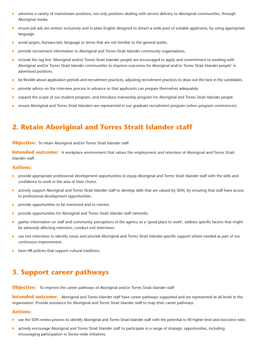- advertise a variety of mainstream positions, not only positions dealing with service delivery to Aboriginal communities, through ь Aboriginal media.
- ensure job ads are written inclusively and in plain English designed to attract a wide pool of suitable applicants, by using appropriate ь language.
- avoid jargon, bureaucratic language or terms that are not familiar to the general public. ь
- provide recruitment information to Aboriginal and Torres Strait Islander community organisations. ь
- include the tag line 'Aboriginal and/or Torres Strait Islander people are encouraged to apply and commitment to working with  $\blacktriangleright$ Aboriginal and/or Torres Strait Islander communities to improve outcomes for Aboriginal and/or Torres Strait Islander people' in advertised positions.
- ь be flexible about application periods and recruitment practices, adjusting recruitment practices to draw out the best in the candidates.
- provide advice on the interview process in advance so that applicants can prepare themselves adequately. ь
- expand the scope of our student program, and Introduce traineeship program for Aboriginal and Torres Strait Islander people. Þ
- ensure Aboriginal and Torres Strait Islanders are represented in our graduate recruitment program (when program commences).

# **2. Retain Aboriginal and Torres Strait Islander staff**

#### **Objective:** To retain Aboriginal and/or Torres Strait Islander staff

**Intended outcome:** A workplace environment that values the employment and retention of Aboriginal and Torres Strait Islander staff.

#### **Actions:**

- **•** provide appropriate professional development opportunities to equip Aboriginal and Torres Strait Islander staff with the skills and confidence to work in the area of their choice.
- actively support Aboriginal and Torres Strait Islander staff to develop skills that are valued by SDN, by ensuring that staff have access ь to professional development opportunities.
- ь provide opportunities to be mentored and to mentor.
- Þ provide opportunities for Aboriginal and Torres Strait Islander staff networks.
- gather information on staff and community perceptions of the agency as a 'good place to work', address specific factors that might ь be adversely affecting retention, conduct exit interviews.
- use exit interviews to identify issues and provide Aboriginal and Torres Strait Islander-specific support where needed as part of our continuous improvement.
- have HR policies that support cultural traditions.

# **3. Support career pathways**

**Objective:** To improve the career pathways of Aboriginal and/or Torres Strait Islander staff

**Intended outcome:** Aboriginal and Torres Islander staff have career pathways supported and are represented at all levels in the organisation. Provide assistance for Aboriginal and Torres Strait Islander staff to map their career pathways.

#### **Actions:**

- ь use the SDN review process to identify Aboriginal and Torres Strait Islander staff with the potential to fill higher level and executive roles.
- actively encourage Aboriginal and Torres Strait Islander staff to participate in a range of strategic opportunities, including  $\blacktriangleright$ encouraging participation in Sector-wide initiatives.